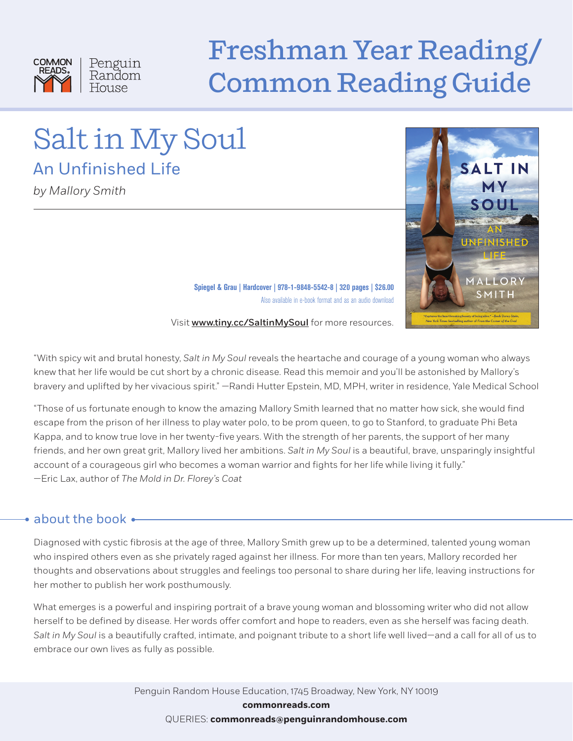

# Freshman Year Reading/ Common Reading Guide

# Salt in My Soul An Unfinished Life

*by Mallory Smith*



**Spiegel & Grau | Hardcover | 978-1-9848-5542-8 | 320 pages | \$26.00** Also available in e-book format and as an audio download

Visit [www.tiny.cc/SaltinMySoul](http://www.tiny.cc/SaltinMySoul) for more resources.

"With spicy wit and brutal honesty, *Salt in My Soul* reveals the heartache and courage of a young woman who always knew that her life would be cut short by a chronic disease. Read this memoir and you'll be astonished by Mallory's bravery and uplifted by her vivacious spirit." —Randi Hutter Epstein, MD, MPH, writer in residence, Yale Medical School

"Those of us fortunate enough to know the amazing Mallory Smith learned that no matter how sick, she would find escape from the prison of her illness to play water polo, to be prom queen, to go to Stanford, to graduate Phi Beta Kappa, and to know true love in her twenty-five years. With the strength of her parents, the support of her many friends, and her own great grit, Mallory lived her ambitions. *Salt in My Soul* is a beautiful, brave, unsparingly insightful account of a courageous girl who becomes a woman warrior and fights for her life while living it fully." —Eric Lax, author of *The Mold in Dr. Florey's Coat*

## • about the book •

Diagnosed with cystic fibrosis at the age of three, Mallory Smith grew up to be a determined, talented young woman who inspired others even as she privately raged against her illness. For more than ten years, Mallory recorded her thoughts and observations about struggles and feelings too personal to share during her life, leaving instructions for her mother to publish her work posthumously.

What emerges is a powerful and inspiring portrait of a brave young woman and blossoming writer who did not allow herself to be defined by disease. Her words offer comfort and hope to readers, even as she herself was facing death. *Salt in My Soul* is a beautifully crafted, intimate, and poignant tribute to a short life well lived—and a call for all of us to embrace our own lives as fully as possible.

> Penguin Random House Education, 1745 Broadway, New York, NY 10019 **commonreads.com** QUERIES: **commonreads@penguinrandomhouse.com**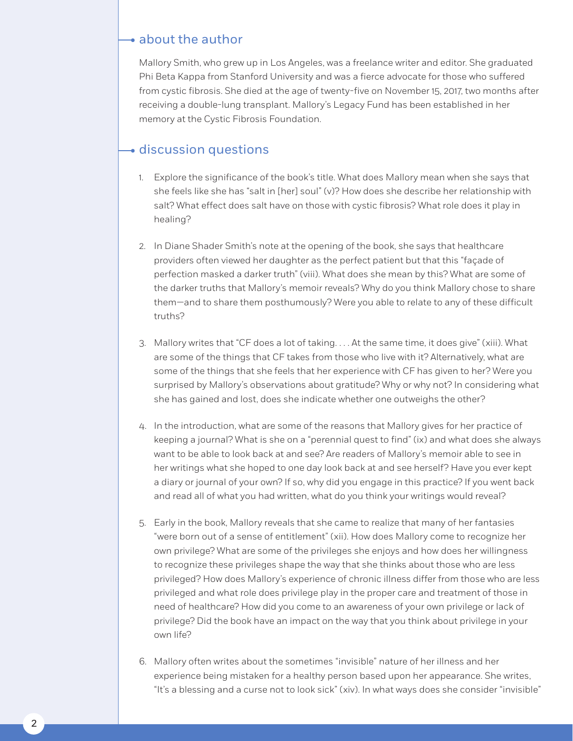#### $\rightarrow$  about the author

Mallory Smith, who grew up in Los Angeles, was a freelance writer and editor. She graduated Phi Beta Kappa from Stanford University and was a fierce advocate for those who suffered from cystic fibrosis. She died at the age of twenty-five on November 15, 2017, two months after receiving a double-lung transplant. Mallory's Legacy Fund has been established in her memory at the Cystic Fibrosis Foundation.

### discussion questions

- 1. Explore the significance of the book's title. What does Mallory mean when she says that she feels like she has "salt in [her] soul" (v)? How does she describe her relationship with salt? What effect does salt have on those with cystic fibrosis? What role does it play in healing?
- 2. In Diane Shader Smith's note at the opening of the book, she says that healthcare providers often viewed her daughter as the perfect patient but that this "façade of perfection masked a darker truth" (viii). What does she mean by this? What are some of the darker truths that Mallory's memoir reveals? Why do you think Mallory chose to share them—and to share them posthumously? Were you able to relate to any of these difficult truths?
- 3. Mallory writes that "CF does a lot of taking. . . . At the same time, it does give" (xiii). What are some of the things that CF takes from those who live with it? Alternatively, what are some of the things that she feels that her experience with CF has given to her? Were you surprised by Mallory's observations about gratitude? Why or why not? In considering what she has gained and lost, does she indicate whether one outweighs the other?
- 4. In the introduction, what are some of the reasons that Mallory gives for her practice of keeping a journal? What is she on a "perennial quest to find" (ix) and what does she always want to be able to look back at and see? Are readers of Mallory's memoir able to see in her writings what she hoped to one day look back at and see herself? Have you ever kept a diary or journal of your own? If so, why did you engage in this practice? If you went back and read all of what you had written, what do you think your writings would reveal?
- 5. Early in the book, Mallory reveals that she came to realize that many of her fantasies "were born out of a sense of entitlement" (xii). How does Mallory come to recognize her own privilege? What are some of the privileges she enjoys and how does her willingness to recognize these privileges shape the way that she thinks about those who are less privileged? How does Mallory's experience of chronic illness differ from those who are less privileged and what role does privilege play in the proper care and treatment of those in need of healthcare? How did you come to an awareness of your own privilege or lack of privilege? Did the book have an impact on the way that you think about privilege in your own life?
- 6. Mallory often writes about the sometimes "invisible" nature of her illness and her experience being mistaken for a healthy person based upon her appearance. She writes, "It's a blessing and a curse not to look sick" (xiv). In what ways does she consider "invisible"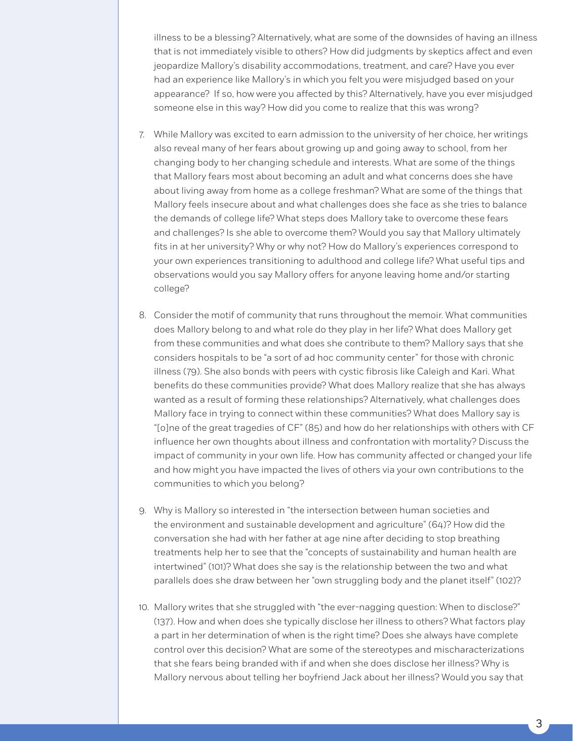illness to be a blessing? Alternatively, what are some of the downsides of having an illness that is not immediately visible to others? How did judgments by skeptics affect and even jeopardize Mallory's disability accommodations, treatment, and care? Have you ever had an experience like Mallory's in which you felt you were misjudged based on your appearance? If so, how were you affected by this? Alternatively, have you ever misjudged someone else in this way? How did you come to realize that this was wrong?

- 7. While Mallory was excited to earn admission to the university of her choice, her writings also reveal many of her fears about growing up and going away to school, from her changing body to her changing schedule and interests. What are some of the things that Mallory fears most about becoming an adult and what concerns does she have about living away from home as a college freshman? What are some of the things that Mallory feels insecure about and what challenges does she face as she tries to balance the demands of college life? What steps does Mallory take to overcome these fears and challenges? Is she able to overcome them? Would you say that Mallory ultimately fits in at her university? Why or why not? How do Mallory's experiences correspond to your own experiences transitioning to adulthood and college life? What useful tips and observations would you say Mallory offers for anyone leaving home and/or starting college?
- 8. Consider the motif of community that runs throughout the memoir. What communities does Mallory belong to and what role do they play in her life? What does Mallory get from these communities and what does she contribute to them? Mallory says that she considers hospitals to be "a sort of ad hoc community center" for those with chronic illness (79). She also bonds with peers with cystic fibrosis like Caleigh and Kari. What benefits do these communities provide? What does Mallory realize that she has always wanted as a result of forming these relationships? Alternatively, what challenges does Mallory face in trying to connect within these communities? What does Mallory say is "[o]ne of the great tragedies of CF" (85) and how do her relationships with others with CF influence her own thoughts about illness and confrontation with mortality? Discuss the impact of community in your own life. How has community affected or changed your life and how might you have impacted the lives of others via your own contributions to the communities to which you belong?
- 9. Why is Mallory so interested in "the intersection between human societies and the environment and sustainable development and agriculture" (64)? How did the conversation she had with her father at age nine after deciding to stop breathing treatments help her to see that the "concepts of sustainability and human health are intertwined" (101)? What does she say is the relationship between the two and what parallels does she draw between her "own struggling body and the planet itself" (102)?
- 10. Mallory writes that she struggled with "the ever-nagging question: When to disclose?" (137). How and when does she typically disclose her illness to others? What factors play a part in her determination of when is the right time? Does she always have complete control over this decision? What are some of the stereotypes and mischaracterizations that she fears being branded with if and when she does disclose her illness? Why is Mallory nervous about telling her boyfriend Jack about her illness? Would you say that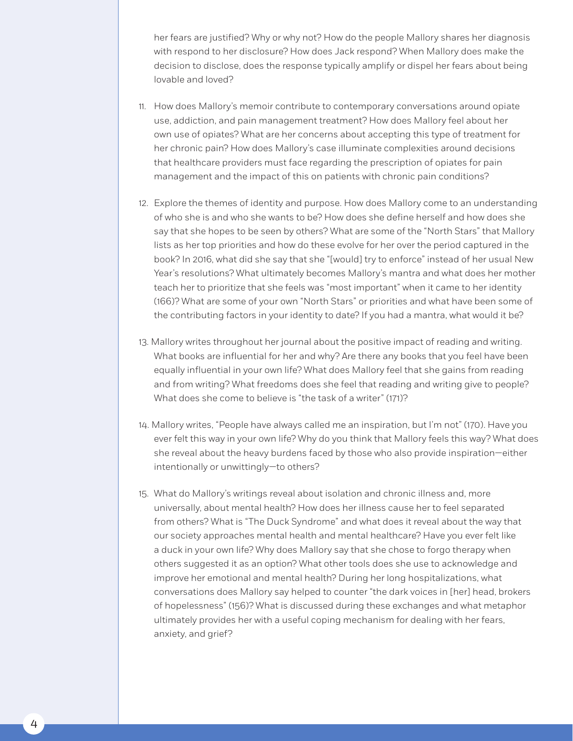her fears are justified? Why or why not? How do the people Mallory shares her diagnosis with respond to her disclosure? How does Jack respond? When Mallory does make the decision to disclose, does the response typically amplify or dispel her fears about being lovable and loved?

- 11. How does Mallory's memoir contribute to contemporary conversations around opiate use, addiction, and pain management treatment? How does Mallory feel about her own use of opiates? What are her concerns about accepting this type of treatment for her chronic pain? How does Mallory's case illuminate complexities around decisions that healthcare providers must face regarding the prescription of opiates for pain management and the impact of this on patients with chronic pain conditions?
- 12. Explore the themes of identity and purpose. How does Mallory come to an understanding of who she is and who she wants to be? How does she define herself and how does she say that she hopes to be seen by others? What are some of the "North Stars" that Mallory lists as her top priorities and how do these evolve for her over the period captured in the book? In 2016, what did she say that she "[would] try to enforce" instead of her usual New Year's resolutions? What ultimately becomes Mallory's mantra and what does her mother teach her to prioritize that she feels was "most important" when it came to her identity (166)? What are some of your own "North Stars" or priorities and what have been some of the contributing factors in your identity to date? If you had a mantra, what would it be?
- 13. Mallory writes throughout her journal about the positive impact of reading and writing. What books are influential for her and why? Are there any books that you feel have been equally influential in your own life? What does Mallory feel that she gains from reading and from writing? What freedoms does she feel that reading and writing give to people? What does she come to believe is "the task of a writer" (171)?
- 14. Mallory writes, "People have always called me an inspiration, but I'm not" (170). Have you ever felt this way in your own life? Why do you think that Mallory feels this way? What does she reveal about the heavy burdens faced by those who also provide inspiration—either intentionally or unwittingly—to others?
- 15. What do Mallory's writings reveal about isolation and chronic illness and, more universally, about mental health? How does her illness cause her to feel separated from others? What is "The Duck Syndrome" and what does it reveal about the way that our society approaches mental health and mental healthcare? Have you ever felt like a duck in your own life? Why does Mallory say that she chose to forgo therapy when others suggested it as an option? What other tools does she use to acknowledge and improve her emotional and mental health? During her long hospitalizations, what conversations does Mallory say helped to counter "the dark voices in [her] head, brokers of hopelessness" (156)? What is discussed during these exchanges and what metaphor ultimately provides her with a useful coping mechanism for dealing with her fears, anxiety, and grief?